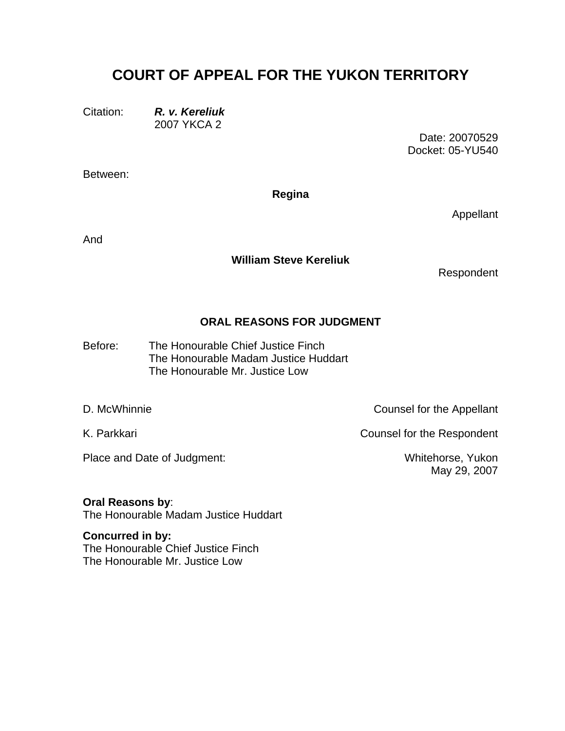# **COURT OF APPEAL FOR THE YUKON TERRITORY**

Citation: *R. v. Kereliuk* 2007 YKCA 2

> Date: 20070529 Docket: 05-YU540

Between:

**Regina** 

Appellant

And

#### **William Steve Kereliuk**

Respondent

### **ORAL REASONS FOR JUDGMENT**

The Honourable Chief Justice Finch The Honourable Madam Justice Huddart Before: The Honourable Mr. Justice Low

Place and Date of Judgment: Whitehorse, Yukon

D. McWhinnie Counsel for the Appellant

K. Parkkari **K.** Parkkari **Counsel for the Respondent** 

May 29, 2007

## **Oral Reasons by**:

The Honourable Madam Justice Huddart

**Concurred in by:**  The Honourable Chief Justice Finch The Honourable Mr. Justice Low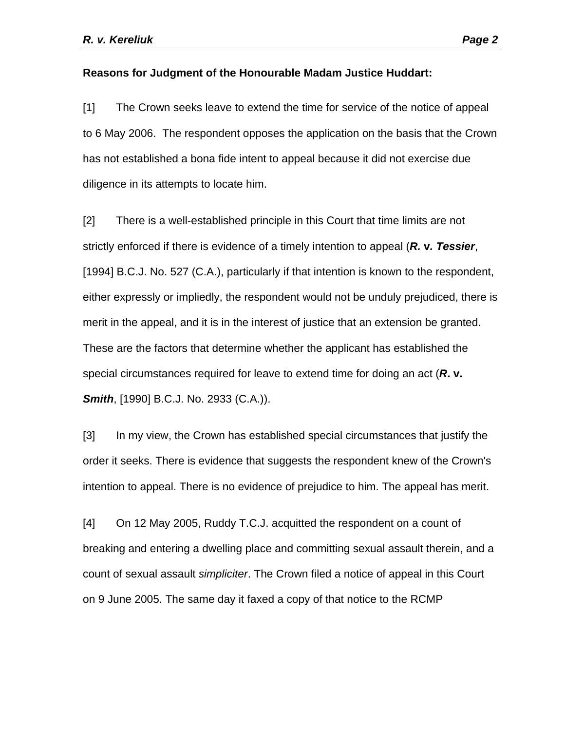#### **Reasons for Judgment of the Honourable Madam Justice Huddart:**

[1] The Crown seeks leave to extend the time for service of the notice of appeal to 6 May 2006. The respondent opposes the application on the basis that the Crown has not established a bona fide intent to appeal because it did not exercise due diligence in its attempts to locate him.

[2] There is a well-established principle in this Court that time limits are not strictly enforced if there is evidence of a timely intention to appeal (*R.* **v***. Tessier*, [1994] B.C.J. No. 527 (C.A.), particularly if that intention is known to the respondent, either expressly or impliedly, the respondent would not be unduly prejudiced, there is merit in the appeal, and it is in the interest of justice that an extension be granted. These are the factors that determine whether the applicant has established the special circumstances required for leave to extend time for doing an act (*R***. v.**  *Smith*, [1990] B.C.J. No. 2933 (C.A.)).

[3] In my view, the Crown has established special circumstances that justify the order it seeks. There is evidence that suggests the respondent knew of the Crown's intention to appeal. There is no evidence of prejudice to him. The appeal has merit.

[4] On 12 May 2005, Ruddy T.C.J. acquitted the respondent on a count of breaking and entering a dwelling place and committing sexual assault therein, and a count of sexual assault *simpliciter*. The Crown filed a notice of appeal in this Court on 9 June 2005. The same day it faxed a copy of that notice to the RCMP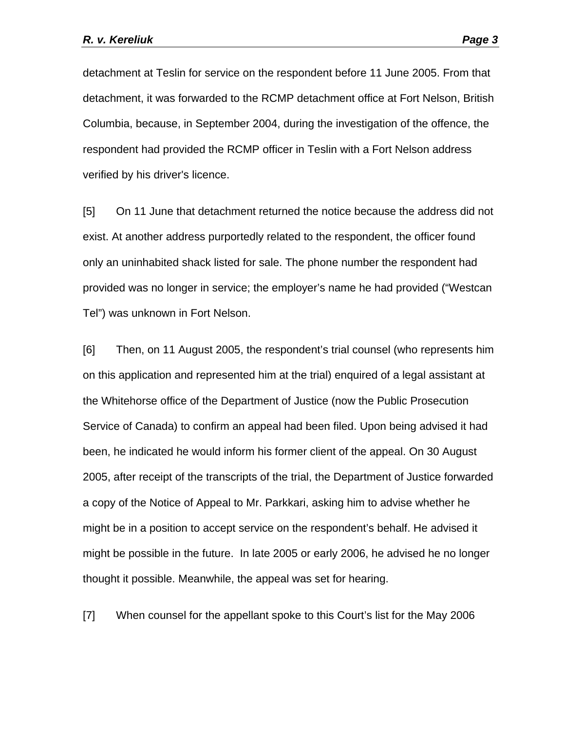detachment at Teslin for service on the respondent before 11 June 2005. From that detachment, it was forwarded to the RCMP detachment office at Fort Nelson, British Columbia, because, in September 2004, during the investigation of the offence, the respondent had provided the RCMP officer in Teslin with a Fort Nelson address verified by his driver's licence.

[5] On 11 June that detachment returned the notice because the address did not exist. At another address purportedly related to the respondent, the officer found only an uninhabited shack listed for sale. The phone number the respondent had provided was no longer in service; the employer's name he had provided ("Westcan Tel") was unknown in Fort Nelson.

[6] Then, on 11 August 2005, the respondent's trial counsel (who represents him on this application and represented him at the trial) enquired of a legal assistant at the Whitehorse office of the Department of Justice (now the Public Prosecution Service of Canada) to confirm an appeal had been filed. Upon being advised it had been, he indicated he would inform his former client of the appeal. On 30 August 2005, after receipt of the transcripts of the trial, the Department of Justice forwarded a copy of the Notice of Appeal to Mr. Parkkari, asking him to advise whether he might be in a position to accept service on the respondent's behalf. He advised it might be possible in the future. In late 2005 or early 2006, he advised he no longer thought it possible. Meanwhile, the appeal was set for hearing.

[7] When counsel for the appellant spoke to this Court's list for the May 2006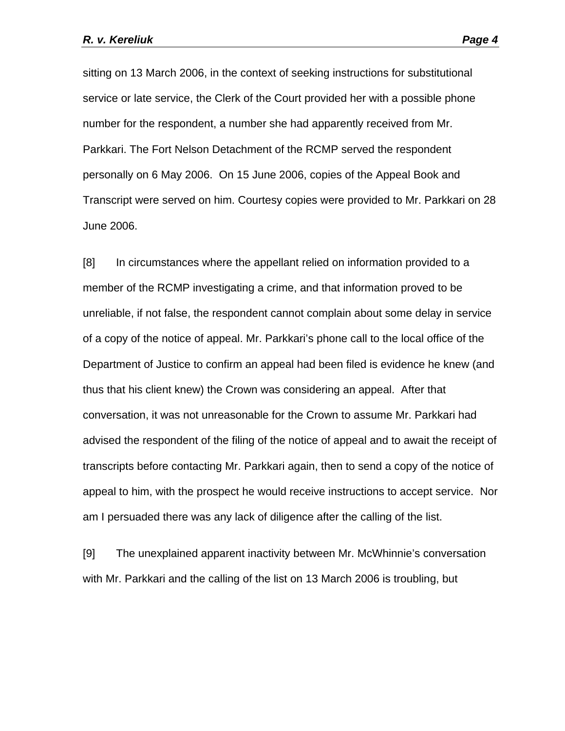sitting on 13 March 2006, in the context of seeking instructions for substitutional service or late service, the Clerk of the Court provided her with a possible phone number for the respondent, a number she had apparently received from Mr. Parkkari. The Fort Nelson Detachment of the RCMP served the respondent personally on 6 May 2006. On 15 June 2006, copies of the Appeal Book and Transcript were served on him. Courtesy copies were provided to Mr. Parkkari on 28 June 2006.

[8] In circumstances where the appellant relied on information provided to a member of the RCMP investigating a crime, and that information proved to be unreliable, if not false, the respondent cannot complain about some delay in service of a copy of the notice of appeal. Mr. Parkkari's phone call to the local office of the Department of Justice to confirm an appeal had been filed is evidence he knew (and thus that his client knew) the Crown was considering an appeal. After that conversation, it was not unreasonable for the Crown to assume Mr. Parkkari had advised the respondent of the filing of the notice of appeal and to await the receipt of transcripts before contacting Mr. Parkkari again, then to send a copy of the notice of appeal to him, with the prospect he would receive instructions to accept service. Nor am I persuaded there was any lack of diligence after the calling of the list.

[9] The unexplained apparent inactivity between Mr. McWhinnie's conversation with Mr. Parkkari and the calling of the list on 13 March 2006 is troubling, but